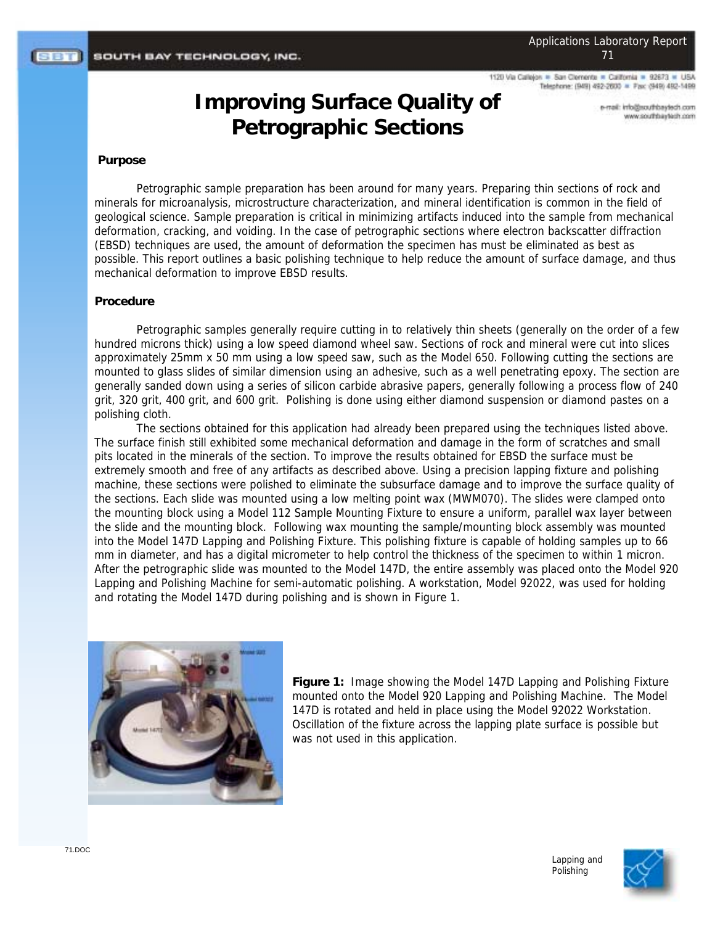1120 Via Callejon = San Clemente = California = 92673 Telephone: (949) 492-2600 = Fax: (949) 492-1499

# **Improving Surface Quality of Petrographic Sections**

mo.doety.adrituatjohn.liam-a mos riseiriadras www.

### **Purpose**

Petrographic sample preparation has been around for many years. Preparing thin sections of rock and minerals for microanalysis, microstructure characterization, and mineral identification is common in the field of geological science. Sample preparation is critical in minimizing artifacts induced into the sample from mechanical deformation, cracking, and voiding. In the case of petrographic sections where electron backscatter diffraction (EBSD) techniques are used, the amount of deformation the specimen has must be eliminated as best as possible. This report outlines a basic polishing technique to help reduce the amount of surface damage, and thus mechanical deformation to improve EBSD results.

#### **Procedure**

Petrographic samples generally require cutting in to relatively thin sheets (generally on the order of a few hundred microns thick) using a low speed diamond wheel saw. Sections of rock and mineral were cut into slices approximately 25mm x 50 mm using a low speed saw, such as the Model 650. Following cutting the sections are mounted to glass slides of similar dimension using an adhesive, such as a well penetrating epoxy. The section are generally sanded down using a series of silicon carbide abrasive papers, generally following a process flow of 240 grit, 320 grit, 400 grit, and 600 grit. Polishing is done using either diamond suspension or diamond pastes on a polishing cloth.

The sections obtained for this application had already been prepared using the techniques listed above. The surface finish still exhibited some mechanical deformation and damage in the form of scratches and small pits located in the minerals of the section. To improve the results obtained for EBSD the surface must be extremely smooth and free of any artifacts as described above. Using a precision lapping fixture and polishing machine, these sections were polished to eliminate the subsurface damage and to improve the surface quality of the sections. Each slide was mounted using a low melting point wax (MWM070). The slides were clamped onto the mounting block using a Model 112 Sample Mounting Fixture to ensure a uniform, parallel wax layer between the slide and the mounting block. Following wax mounting the sample/mounting block assembly was mounted into the Model 147D Lapping and Polishing Fixture. This polishing fixture is capable of holding samples up to 66 mm in diameter, and has a digital micrometer to help control the thickness of the specimen to within 1 micron. After the petrographic slide was mounted to the Model 147D, the entire assembly was placed onto the Model 920 Lapping and Polishing Machine for semi-automatic polishing. A workstation, Model 92022, was used for holding and rotating the Model 147D during polishing and is shown in Figure 1.



**Figure 1:** Image showing the Model 147D Lapping and Polishing Fixture mounted onto the Model 920 Lapping and Polishing Machine. The Model 147D is rotated and held in place using the Model 92022 Workstation. Oscillation of the fixture across the lapping plate surface is possible but was not used in this application.

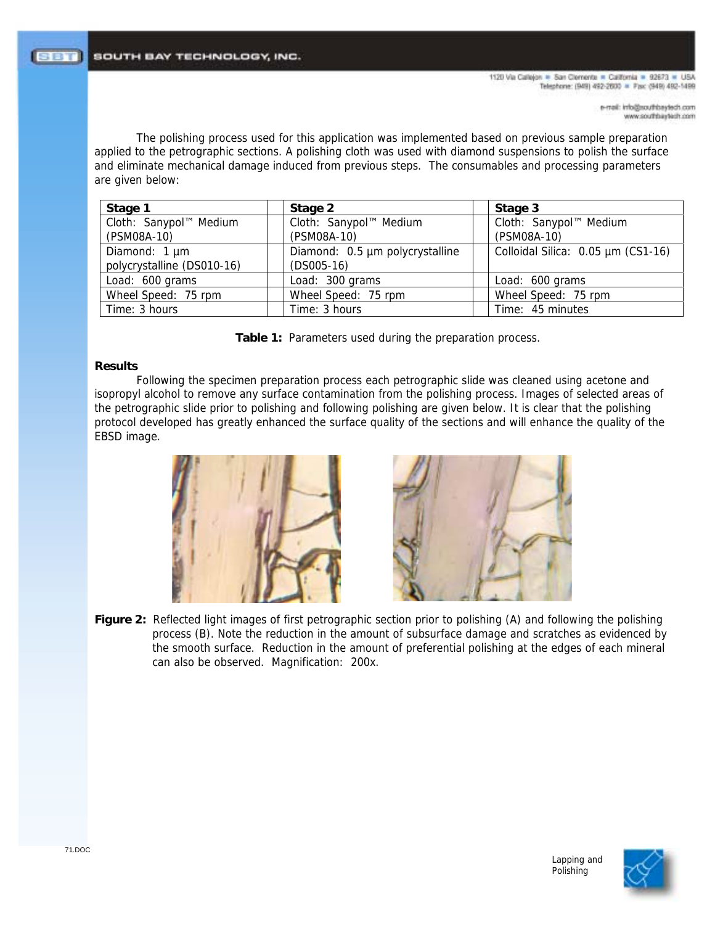1120 Via Callejon = San Clemente = California = 92673 = USA Telephone: (949) 492-2600 = Fax: (949) 492-1499

The polishing process used for this application was implemented based on previous sample preparation applied to the petrographic sections. A polishing cloth was used with diamond suspensions to polish the surface and eliminate mechanical damage induced from previous steps. The consumables and processing parameters are given below:

| Stage 1                    | Stage 2                         |                        | Stage 3                            |
|----------------------------|---------------------------------|------------------------|------------------------------------|
| Cloth: Sanypol™ Medium     |                                 | Cloth: Sanypol™ Medium | Cloth: Sanypol™ Medium             |
| (PSM08A-10)                | (PSM08A-10)                     |                        | (PSM08A-10)                        |
| Diamond: 1 µm              | Diamond: 0.5 µm polycrystalline |                        | Colloidal Silica: 0.05 µm (CS1-16) |
| polycrystalline (DS010-16) | $(DSO05-16)$                    |                        |                                    |
| Load: 600 grams            |                                 | Load: 300 grams        | Load: 600 grams                    |
| Wheel Speed: 75 rpm        |                                 | Wheel Speed: 75 rpm    | Wheel Speed: 75 rpm                |
| Time: 3 hours              | Time: 3 hours                   |                        | Time: 45 minutes                   |

**Table 1:** Parameters used during the preparation process.

## **Results**

Following the specimen preparation process each petrographic slide was cleaned using acetone and isopropyl alcohol to remove any surface contamination from the polishing process. Images of selected areas of the petrographic slide prior to polishing and following polishing are given below. It is clear that the polishing protocol developed has greatly enhanced the surface quality of the sections and will enhance the quality of the EBSD image.





**Figure 2:** Reflected light images of first petrographic section prior to polishing (A) and following the polishing process (B). Note the reduction in the amount of subsurface damage and scratches as evidenced by the smooth surface. Reduction in the amount of preferential polishing at the edges of each mineral can also be observed. Magnification: 200x.